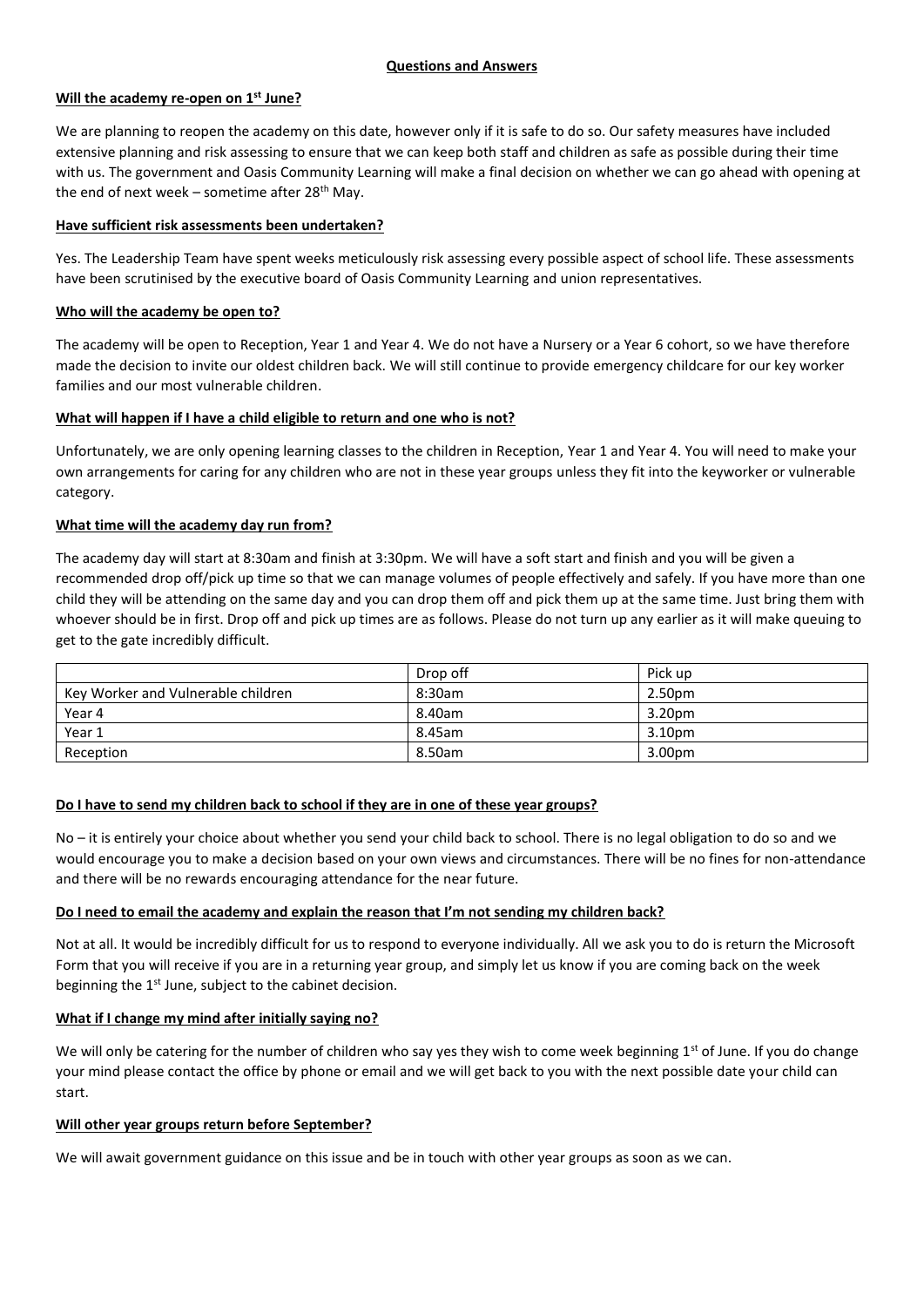## **Will the academy re-open on 1st June?**

We are planning to reopen the academy on this date, however only if it is safe to do so. Our safety measures have included extensive planning and risk assessing to ensure that we can keep both staff and children as safe as possible during their time with us. The government and Oasis Community Learning will make a final decision on whether we can go ahead with opening at the end of next week – sometime after  $28<sup>th</sup>$  May.

## **Have sufficient risk assessments been undertaken?**

Yes. The Leadership Team have spent weeks meticulously risk assessing every possible aspect of school life. These assessments have been scrutinised by the executive board of Oasis Community Learning and union representatives.

# **Who will the academy be open to?**

The academy will be open to Reception, Year 1 and Year 4. We do not have a Nursery or a Year 6 cohort, so we have therefore made the decision to invite our oldest children back. We will still continue to provide emergency childcare for our key worker families and our most vulnerable children.

# **What will happen if I have a child eligible to return and one who is not?**

Unfortunately, we are only opening learning classes to the children in Reception, Year 1 and Year 4. You will need to make your own arrangements for caring for any children who are not in these year groups unless they fit into the keyworker or vulnerable category.

# **What time will the academy day run from?**

The academy day will start at 8:30am and finish at 3:30pm. We will have a soft start and finish and you will be given a recommended drop off/pick up time so that we can manage volumes of people effectively and safely. If you have more than one child they will be attending on the same day and you can drop them off and pick them up at the same time. Just bring them with whoever should be in first. Drop off and pick up times are as follows. Please do not turn up any earlier as it will make queuing to get to the gate incredibly difficult.

|                                    | Drop off | Pick up |
|------------------------------------|----------|---------|
| Key Worker and Vulnerable children | 8:30am   | 2.50pm  |
| Year 4                             | 8.40am   | 3.20pm  |
| Year 1                             | 8.45am   | 3.10pm  |
| Reception                          | 8.50am   | 3.00pm  |

## **Do I have to send my children back to school if they are in one of these year groups?**

No – it is entirely your choice about whether you send your child back to school. There is no legal obligation to do so and we would encourage you to make a decision based on your own views and circumstances. There will be no fines for non-attendance and there will be no rewards encouraging attendance for the near future.

## **Do I need to email the academy and explain the reason that I'm not sending my children back?**

Not at all. It would be incredibly difficult for us to respond to everyone individually. All we ask you to do is return the Microsoft Form that you will receive if you are in a returning year group, and simply let us know if you are coming back on the week beginning the 1<sup>st</sup> June, subject to the cabinet decision.

# **What if I change my mind after initially saying no?**

We will only be catering for the number of children who say yes they wish to come week beginning  $1^{st}$  of June. If you do change your mind please contact the office by phone or email and we will get back to you with the next possible date your child can start.

## **Will other year groups return before September?**

We will await government guidance on this issue and be in touch with other year groups as soon as we can.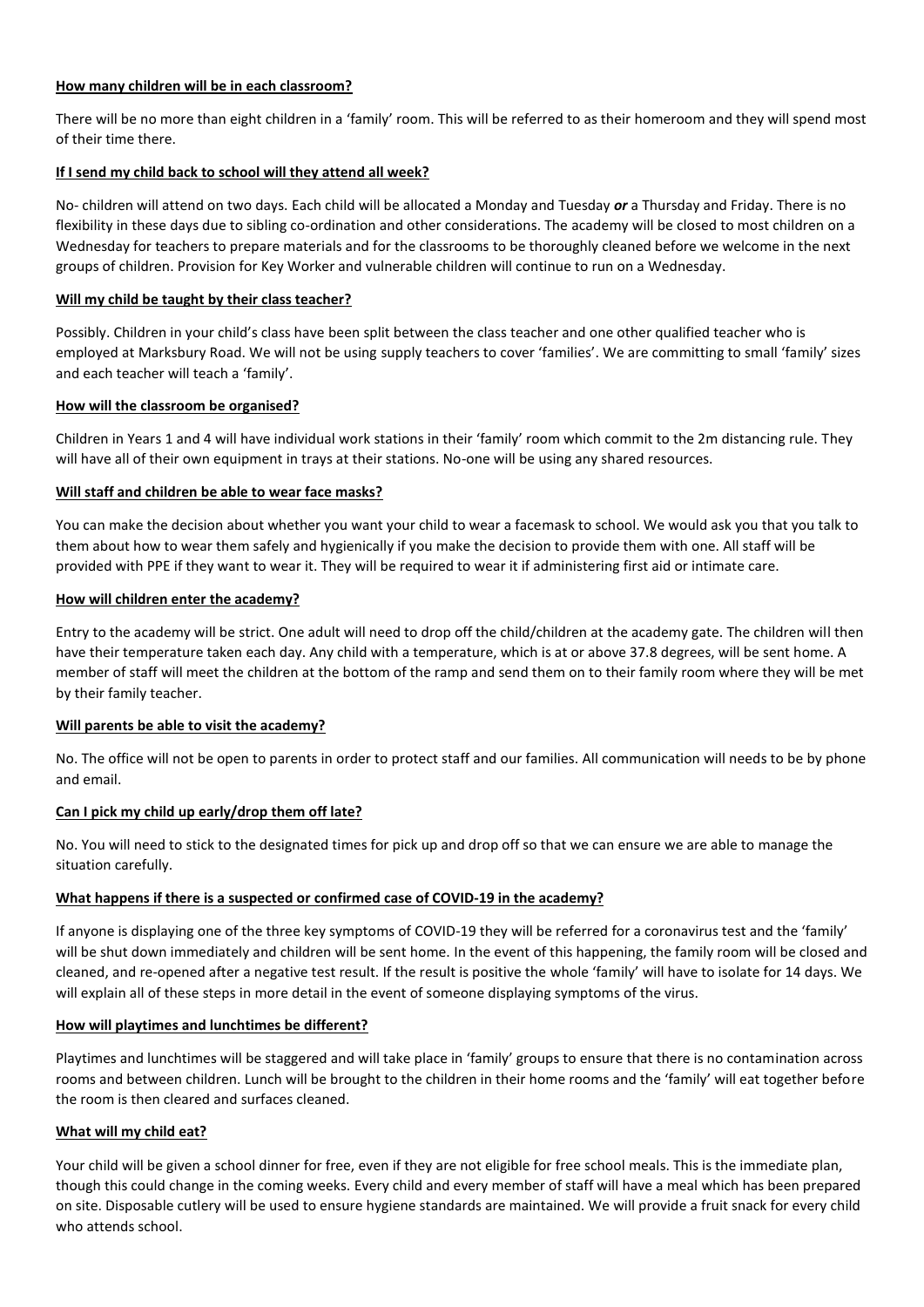## **How many children will be in each classroom?**

There will be no more than eight children in a 'family' room. This will be referred to as their homeroom and they will spend most of their time there.

# **If I send my child back to school will they attend all week?**

No- children will attend on two days. Each child will be allocated a Monday and Tuesday *or* a Thursday and Friday. There is no flexibility in these days due to sibling co-ordination and other considerations. The academy will be closed to most children on a Wednesday for teachers to prepare materials and for the classrooms to be thoroughly cleaned before we welcome in the next groups of children. Provision for Key Worker and vulnerable children will continue to run on a Wednesday.

# **Will my child be taught by their class teacher?**

Possibly. Children in your child's class have been split between the class teacher and one other qualified teacher who is employed at Marksbury Road. We will not be using supply teachers to cover 'families'. We are committing to small 'family' sizes and each teacher will teach a 'family'.

# **How will the classroom be organised?**

Children in Years 1 and 4 will have individual work stations in their 'family' room which commit to the 2m distancing rule. They will have all of their own equipment in trays at their stations. No-one will be using any shared resources.

## **Will staff and children be able to wear face masks?**

You can make the decision about whether you want your child to wear a facemask to school. We would ask you that you talk to them about how to wear them safely and hygienically if you make the decision to provide them with one. All staff will be provided with PPE if they want to wear it. They will be required to wear it if administering first aid or intimate care.

## **How will children enter the academy?**

Entry to the academy will be strict. One adult will need to drop off the child/children at the academy gate. The children will then have their temperature taken each day. Any child with a temperature, which is at or above 37.8 degrees, will be sent home. A member of staff will meet the children at the bottom of the ramp and send them on to their family room where they will be met by their family teacher.

## **Will parents be able to visit the academy?**

No. The office will not be open to parents in order to protect staff and our families. All communication will needs to be by phone and email.

# **Can I pick my child up early/drop them off late?**

No. You will need to stick to the designated times for pick up and drop off so that we can ensure we are able to manage the situation carefully.

# **What happens if there is a suspected or confirmed case of COVID-19 in the academy?**

If anyone is displaying one of the three key symptoms of COVID-19 they will be referred for a coronavirus test and the 'family' will be shut down immediately and children will be sent home. In the event of this happening, the family room will be closed and cleaned, and re-opened after a negative test result. If the result is positive the whole 'family' will have to isolate for 14 days. We will explain all of these steps in more detail in the event of someone displaying symptoms of the virus.

## **How will playtimes and lunchtimes be different?**

Playtimes and lunchtimes will be staggered and will take place in 'family' groups to ensure that there is no contamination across rooms and between children. Lunch will be brought to the children in their home rooms and the 'family' will eat together before the room is then cleared and surfaces cleaned.

## **What will my child eat?**

Your child will be given a school dinner for free, even if they are not eligible for free school meals. This is the immediate plan, though this could change in the coming weeks. Every child and every member of staff will have a meal which has been prepared on site. Disposable cutlery will be used to ensure hygiene standards are maintained. We will provide a fruit snack for every child who attends school.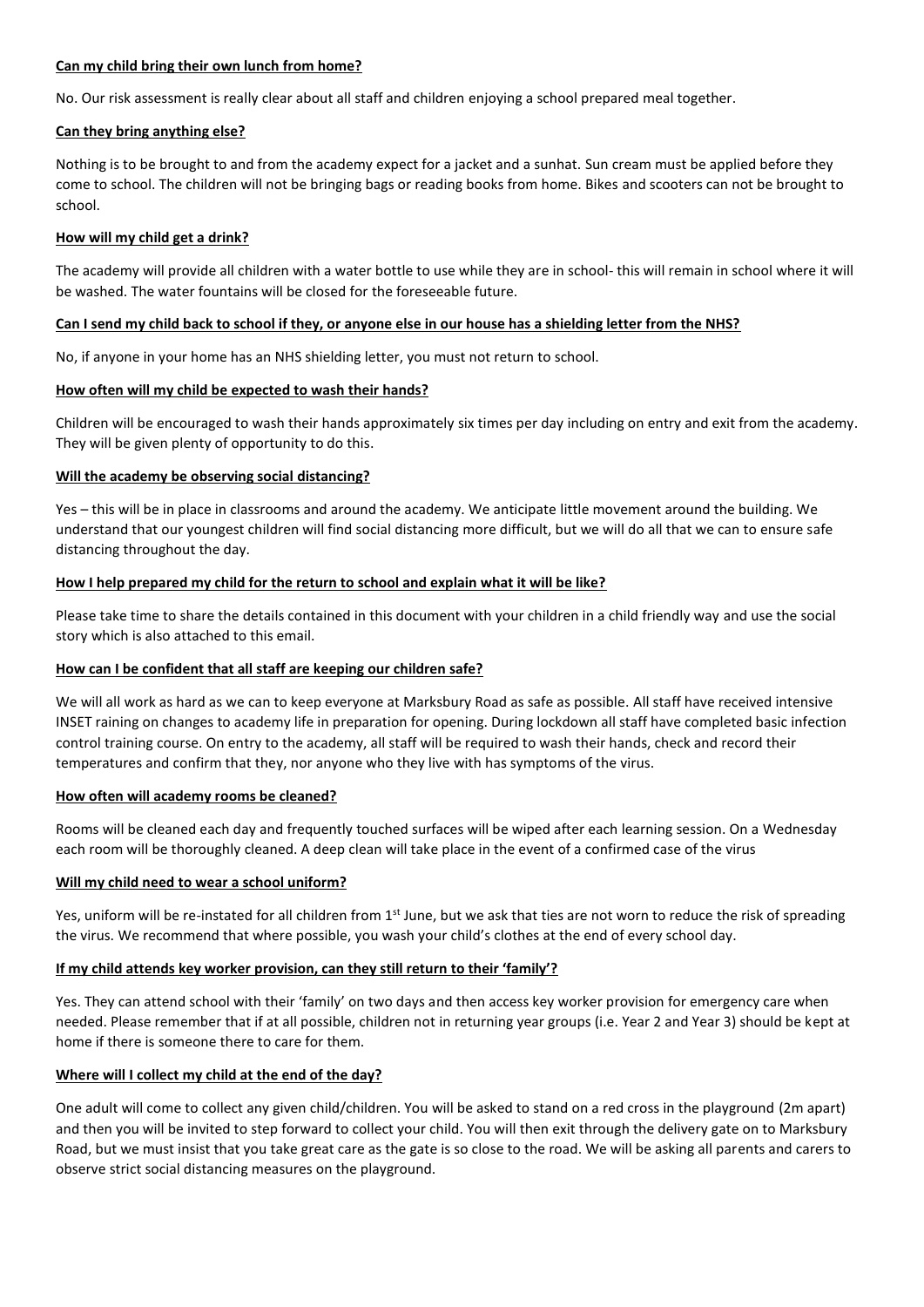#### **Can my child bring their own lunch from home?**

No. Our risk assessment is really clear about all staff and children enjoying a school prepared meal together.

#### **Can they bring anything else?**

Nothing is to be brought to and from the academy expect for a jacket and a sunhat. Sun cream must be applied before they come to school. The children will not be bringing bags or reading books from home. Bikes and scooters can not be brought to school.

#### **How will my child get a drink?**

The academy will provide all children with a water bottle to use while they are in school- this will remain in school where it will be washed. The water fountains will be closed for the foreseeable future.

#### **Can I send my child back to school if they, or anyone else in our house has a shielding letter from the NHS?**

No, if anyone in your home has an NHS shielding letter, you must not return to school.

#### **How often will my child be expected to wash their hands?**

Children will be encouraged to wash their hands approximately six times per day including on entry and exit from the academy. They will be given plenty of opportunity to do this.

#### **Will the academy be observing social distancing?**

Yes – this will be in place in classrooms and around the academy. We anticipate little movement around the building. We understand that our youngest children will find social distancing more difficult, but we will do all that we can to ensure safe distancing throughout the day.

#### **How I help prepared my child for the return to school and explain what it will be like?**

Please take time to share the details contained in this document with your children in a child friendly way and use the social story which is also attached to this email.

## **How can I be confident that all staff are keeping our children safe?**

We will all work as hard as we can to keep everyone at Marksbury Road as safe as possible. All staff have received intensive INSET raining on changes to academy life in preparation for opening. During lockdown all staff have completed basic infection control training course. On entry to the academy, all staff will be required to wash their hands, check and record their temperatures and confirm that they, nor anyone who they live with has symptoms of the virus.

#### **How often will academy rooms be cleaned?**

Rooms will be cleaned each day and frequently touched surfaces will be wiped after each learning session. On a Wednesday each room will be thoroughly cleaned. A deep clean will take place in the event of a confirmed case of the virus

## **Will my child need to wear a school uniform?**

Yes, uniform will be re-instated for all children from 1<sup>st</sup> June, but we ask that ties are not worn to reduce the risk of spreading the virus. We recommend that where possible, you wash your child's clothes at the end of every school day.

## **If my child attends key worker provision, can they still return to their 'family'?**

Yes. They can attend school with their 'family' on two days and then access key worker provision for emergency care when needed. Please remember that if at all possible, children not in returning year groups (i.e. Year 2 and Year 3) should be kept at home if there is someone there to care for them.

## **Where will I collect my child at the end of the day?**

One adult will come to collect any given child/children. You will be asked to stand on a red cross in the playground (2m apart) and then you will be invited to step forward to collect your child. You will then exit through the delivery gate on to Marksbury Road, but we must insist that you take great care as the gate is so close to the road. We will be asking all parents and carers to observe strict social distancing measures on the playground.